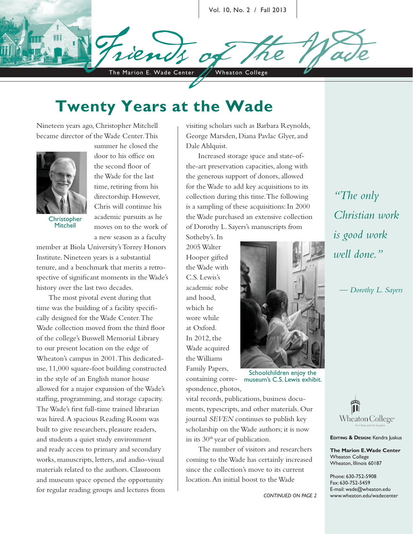Vol. 10, No. 2 / Fall 2013

The Marion E. Wade Center / Wheaton College

**Twenty Years at the Wade**

Nineteen years ago, Christopher Mitchell became director of the Wade Center. This



**Christopher Mitchell** 

summer he closed the door to his office on the second floor of the Wade for the last time, retiring from his directorship. However, Chris will continue his academic pursuits as he moves on to the work of a new season as a faculty

member at Biola University's Torrey Honors Institute. Nineteen years is a substantial tenure, and a benchmark that merits a retrospective of significant moments in the Wade's history over the last two decades.

The most pivotal event during that time was the building of a facility specifically designed for the Wade Center. The Wade collection moved from the third floor of the college's Buswell Memorial Library to our present location on the edge of Wheaton's campus in 2001. This dedicateduse, 11,000 square-foot building constructed in the style of an English manor house allowed for a major expansion of the Wade's staffing, programming, and storage capacity. The Wade's first full-time trained librarian was hired. A spacious Reading Room was built to give researchers, pleasure readers, and students a quiet study environment and ready access to primary and secondary works, manuscripts, letters, and audio-visual materials related to the authors. Classroom and museum space opened the opportunity for regular reading groups and lectures from

visiting scholars such as Barbara Reynolds, George Marsden, Diana Pavlac Glyer, and Dale Ahlquist.

Increased storage space and state-ofthe-art preservation capacities, along with the generous support of donors, allowed for the Wade to add key acquisitions to its collection during this time. The following is a sampling of these acquisitions: In 2000 the Wade purchased an extensive collection of Dorothy L. Sayers's manuscripts from

Sotheby's. In 2005 Walter Hooper gifted the Wade with C.S. Lewis's academic robe and hood, which he wore while at Oxford. In 2012, the Wade acquired the Williams Family Papers, containing corre-

spondence, photos, vital records, publications, business documents, typescripts, and other materials. Our journal *SEVEN* continues to publish key scholarship on the Wade authors; it is now in its  $30<sup>th</sup>$  year of publication.

The number of visitors and researchers coming to the Wade has certainly increased since the collection's move to its current location. An initial boost to the Wade



Schoolchildren enjoy the museum's C.S. Lewis exhibit.



**EDITING & DESIGN:** Kendra Juskus

**The Marion E. Wade Center** Wheaton College Wheaton, Illinois 60187

Phone: 630-752-5908 Fax: 630-752-5459 E-mail: wade@wheaton.edu www.wheaton.edu/wadecenter

*"The only Christian work is good work well done."*

*— Dorothy L. Sayers*

*continued on page 2*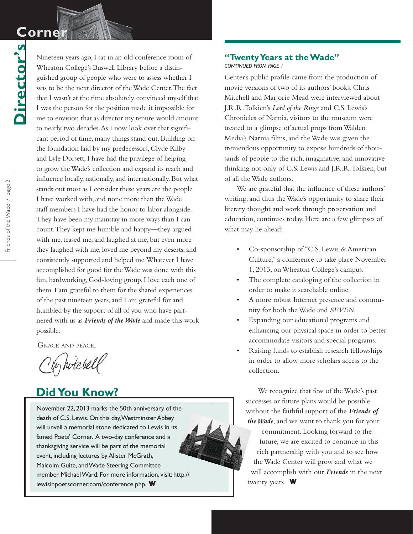# $\mathbf C$ orne

**Director's**

Director's

Nineteen years ago, I sat in an old conference room of Wheaton College's Buswell Library before a distinguished group of people who were to assess whether I was to be the next director of the Wade Center. The fact that I wasn't at the time absolutely convinced myself that I was the person for the position made it impossible for me to envision that as director my tenure would amount to nearly two decades. As I now look over that significant period of time, many things stand out. Building on the foundation laid by my predecessors, Clyde Kilby and Lyle Dorsett, I have had the privilege of helping to grow the Wade's collection and expand its reach and influence locally, nationally, and internationally. But what stands out most as I consider these years are the people I have worked with, and none more than the Wade staff members I have had the honor to labor alongside. They have been my mainstay in more ways than I can count. They kept me humble and happy—they argued with me, teased me, and laughed at me; but even more they laughed with me, loved me beyond my deserts, and consistently supported and helped me. Whatever I have accomplished for good for the Wade was done with this fun, hardworking, God-loving group. I love each one of them. I am grateful to them for the shared experiences of the past nineteen years, and I am grateful for and humbled by the support of all of you who have partnered with us as *Friends of the Wade* and made this work possible.

Grace and peace,

by hitchell

## **Did You Know?**

November 22, 2013 marks the 50th anniversary of the death of C.S. Lewis. On this day, Westminster Abbey will unveil a memorial stone dedicated to Lewis in its famed Poets' Corner. A two-day conference and a thanksgiving service will be part of the memorial event, including lectures by Alister McGrath, Malcolm Guite, and Wade Steering Committee member Michael Ward. For more information, visit: http:// lewisinpoetscorner.com/conference.php. **W W**

#### **"Twenty Years at the Wade"** *continued from page 1*

Center's public profile came from the production of movie versions of two of its authors' books. Chris Mitchell and Marjorie Mead were interviewed about J.R.R. Tolkien's *Lord of the Rings* and C.S. Lewis's Chronicles of Narnia, visitors to the museum were treated to a glimpse of actual props from Walden Media's Narnia films, and the Wade was given the tremendous opportunity to expose hundreds of thousands of people to the rich, imaginative, and innovative thinking not only of C.S. Lewis and J.R.R. Tolkien, but of all the Wade authors.

We are grateful that the influence of these authors' writing, and thus the Wade's opportunity to share their literary thought and work through preservation and education, continues today. Here are a few glimpses of what may lie ahead:

- Co-sponsorship of "C.S. Lewis & American Culture," a conference to take place November 1, 2013, on Wheaton College's campus.
- The complete cataloging of the collection in order to make it searchable online.
- A more robust Internet presence and community for both the Wade and *SEVEN*.
- Expanding our educational programs and enhancing our physical space in order to better accommodate visitors and special programs.
- Raising funds to establish research fellowships in order to allow more scholars access to the collection.

We recognize that few of the Wade's past successes or future plans would be possible without the faithful support of the *Friends of the Wade*, and we want to thank you for your commitment. Looking forward to the future, we are excited to continue in this rich partnership with you and to see how the Wade Center will grow and what we will accomplish with our *Friends* in the next twenty years. W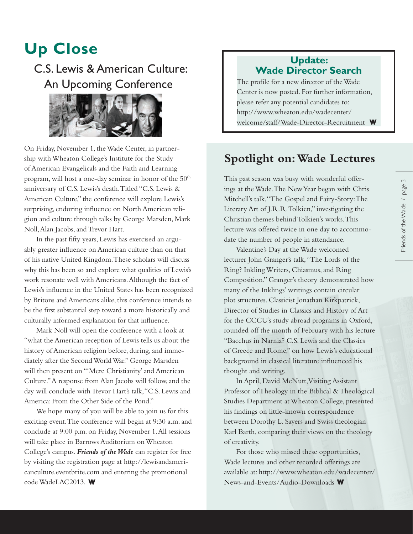# **Up Close**

C.S. Lewis & American Culture: An Upcoming Conference



On Friday, November 1, the Wade Center, in partnership with Wheaton College's Institute for the Study of American Evangelicals and the Faith and Learning program, will host a one-day seminar in honor of the  $50<sup>th</sup>$ anniversary of C.S. Lewis's death. Titled "C.S. Lewis & American Culture," the conference will explore Lewis's surprising, enduring influence on North American religion and culture through talks by George Marsden, Mark Noll, Alan Jacobs, and Trevor Hart.

In the past fifty years, Lewis has exercised an arguably greater influence on American culture than on that of his native United Kingdom. These scholars will discuss why this has been so and explore what qualities of Lewis's work resonate well with Americans. Although the fact of Lewis's influence in the United States has been recognized by Britons and Americans alike, this conference intends to be the first substantial step toward a more historically and culturally informed explanation for that influence.

Mark Noll will open the conference with a look at "what the American reception of Lewis tells us about the history of American religion before, during, and immediately after the Second World War." George Marsden will then present on "'Mere Christianity' and American Culture." A response from Alan Jacobs will follow, and the day will conclude with Trevor Hart's talk, "C.S. Lewis and America: From the Other Side of the Pond."

We hope many of you will be able to join us for this exciting event. The conference will begin at 9:30 a.m. and conclude at 9:00 p.m. on Friday, November 1. All sessions will take place in Barrows Auditorium on Wheaton College's campus. *Friends of the Wade* can register for free by visiting the registration page at http://lewisandamericanculture.eventbrite.com and entering the promotional code WadeLAC2013. **W**

#### **Update: Wade Director Search**

The profile for a new director of the Wade Center is now posted. For further information, please refer any potential candidates to: http://www.wheaton.edu/wadecenter/ welcome/staff/Wade-Director-Recruitment **W**

### **Spotlight on: Wade Lectures**

This past season was busy with wonderful offerings at the Wade. The New Year began with Chris Mitchell's talk,"The Gospel and Fairy-Story: The Literary Art of J.R.R. Tolkien," investigating the Christian themes behind Tolkien's works. This lecture was offered twice in one day to accommodate the number of people in attendance.

Valentine's Day at the Wade welcomed lecturer John Granger's talk, "The Lords of the Ring? Inkling Writers, Chiasmus, and Ring Composition." Granger's theory demonstrated how many of the Inklings' writings contain circular plot structures. Classicist Jonathan Kirkpatrick, Director of Studies in Classics and History of Art for the CCCU's study abroad programs in Oxford, rounded off the month of February with his lecture "Bacchus in Narnia? C.S. Lewis and the Classics of Greece and Rome," on how Lewis's educational background in classical literature influenced his thought and writing.

In April, David McNutt, Visiting Assistant Professor of Theology in the Biblical & Theological Studies Department at Wheaton College, presented his findings on little-known correspondence between Dorothy L. Sayers and Swiss theologian Karl Barth, comparing their views on the theology of creativity.

For those who missed these opportunities, Wade lectures and other recorded offerings are available at: http://www.wheaton.edu/wadecenter/ News-and-Events/Audio-Downloads **W**